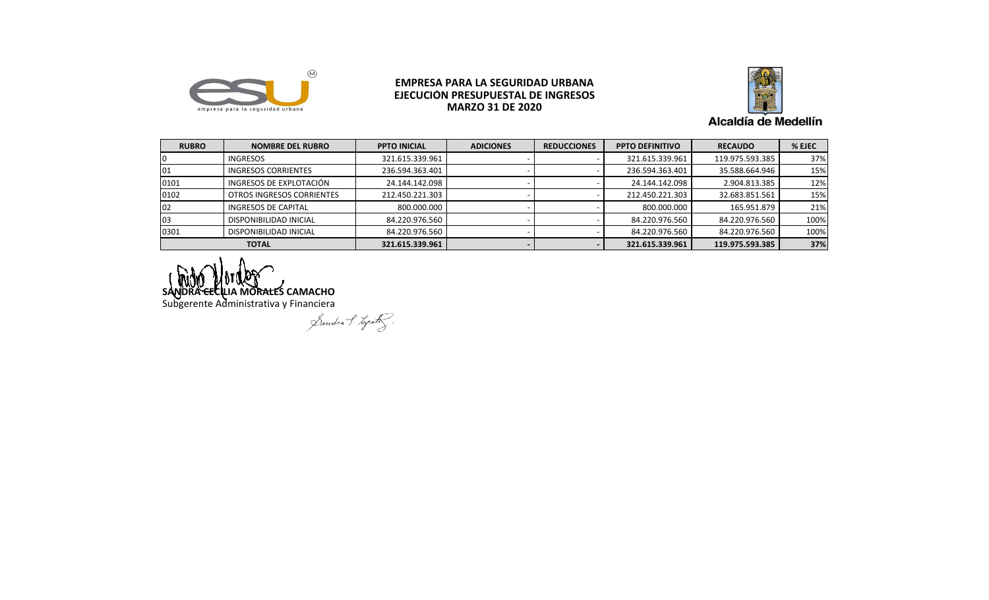

## **EMPRESA PARA LA SEGURIDAD URBANA** EJECUCIÓN PRESUPUESTAL DE INGRESOS **MARZO 31 DE 2020**



| <b>RUBRO</b> | <b>NOMBRE DEL RUBRO</b>    | <b>PPTO INICIAL</b> | <b>ADICIONES</b> | <b>REDUCCIONES</b> | <b>PPTO DEFINITIVO</b> | <b>RECAUDO</b>  | % EJEC |
|--------------|----------------------------|---------------------|------------------|--------------------|------------------------|-----------------|--------|
|              | INGRESOS                   | 321.615.339.961     |                  |                    | 321.615.339.961        | 119.975.593.385 | 37%    |
| 01           | <b>INGRESOS CORRIENTES</b> | 236.594.363.401     |                  |                    | 236.594.363.401        | 35.588.664.946  | 15%    |
| 0101         | INGRESOS DE EXPLOTACIÓN    | 24.144.142.098      |                  |                    | 24.144.142.098         | 2.904.813.385   | 12%    |
| 0102         | OTROS INGRESOS CORRIENTES  | 212.450.221.303     |                  |                    | 212.450.221.303        | 32.683.851.561  | 15%    |
| 02           | INGRESOS DE CAPITAL        | 800.000.000         |                  |                    | 800.000.000            | 165.951.879     | 21%    |
| 03           | DISPONIBILIDAD INICIAL     | 84.220.976.560      |                  |                    | 84.220.976.560         | 84.220.976.560  | 100%   |
| 0301         | DISPONIBILIDAD INICIAL     | 84.220.976.560      |                  |                    | 84.220.976.560         | 84.220.976.560  | 100%   |
| <b>TOTAL</b> |                            | 321.615.339.961     |                  |                    | 321.615.339.961        | 119.975.593.385 | 37%    |

SANDRA CECILIA MORALES CAMACHO

Sandra S. Legatz.